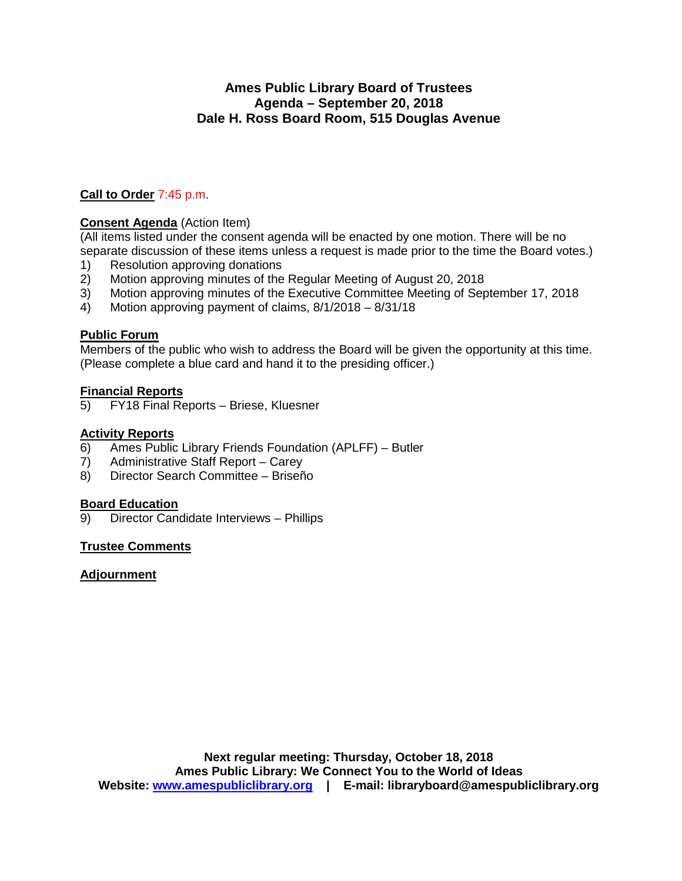# **Ames Public Library Board of Trustees Agenda – September 20, 2018 Dale H. Ross Board Room, 515 Douglas Avenue**

# **Call to Order** 7:45 p.m.

# **Consent Agenda** (Action Item)

(All items listed under the consent agenda will be enacted by one motion. There will be no separate discussion of these items unless a request is made prior to the time the Board votes.)

- 1) Resolution approving donations
- 2) Motion approving minutes of the Regular Meeting of August 20, 2018<br>3) Motion approving minutes of the Executive Committee Meeting of Sep
- 3) Motion approving minutes of the Executive Committee Meeting of September 17, 2018<br>4) Motion approving payment of claims, 8/1/2018 8/31/18
- Motion approving payment of claims, 8/1/2018 8/31/18

#### **Public Forum**

Members of the public who wish to address the Board will be given the opportunity at this time. (Please complete a blue card and hand it to the presiding officer.)

# **Financial Reports**<br>5) **FY18** Final Re

5) FY18 Final Reports – Briese, Kluesner

#### **Activity Reports**

- 6) Ames Public Library Friends Foundation (APLFF) Butler
- 7) Administrative Staff Report Carey
- 8) Director Search Committee Briseño

#### **Board Education**

9) Director Candidate Interviews – Phillips

## **Trustee Comments**

## **Adjournment**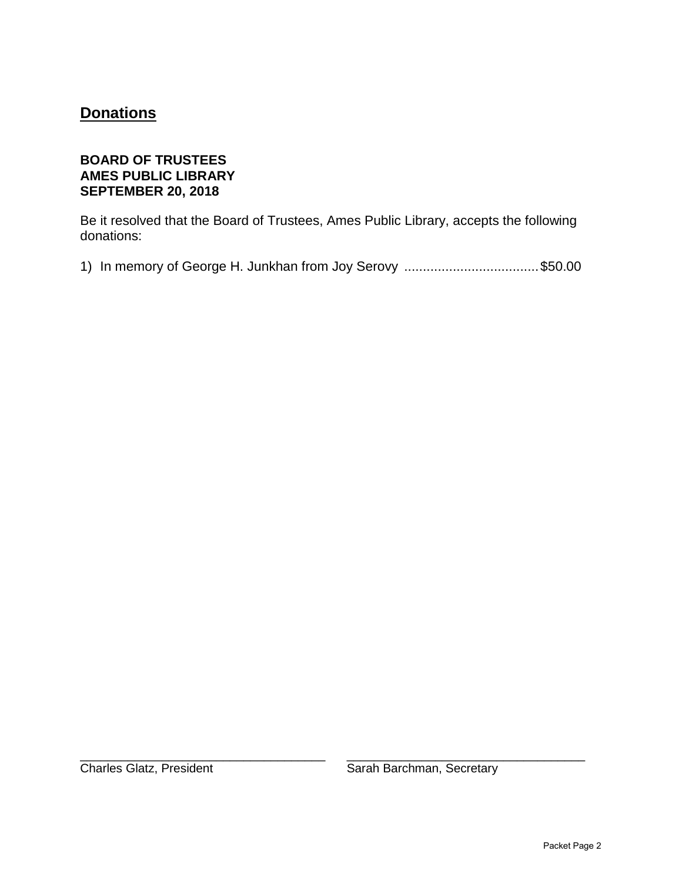# **Donations**

# **BOARD OF TRUSTEES AMES PUBLIC LIBRARY SEPTEMBER 20, 2018**

Be it resolved that the Board of Trustees, Ames Public Library, accepts the following donations:

1) In memory of George H. Junkhan from Joy Serovy .................................... \$50.00

\_\_\_\_\_\_\_\_\_\_\_\_\_\_\_\_\_\_\_\_\_\_\_\_\_\_\_\_\_\_\_\_\_\_\_\_ \_\_\_\_\_\_\_\_\_\_\_\_\_\_\_\_\_\_\_\_\_\_\_\_\_\_\_\_\_\_\_\_\_\_\_

Charles Glatz, President Sarah Barchman, Secretary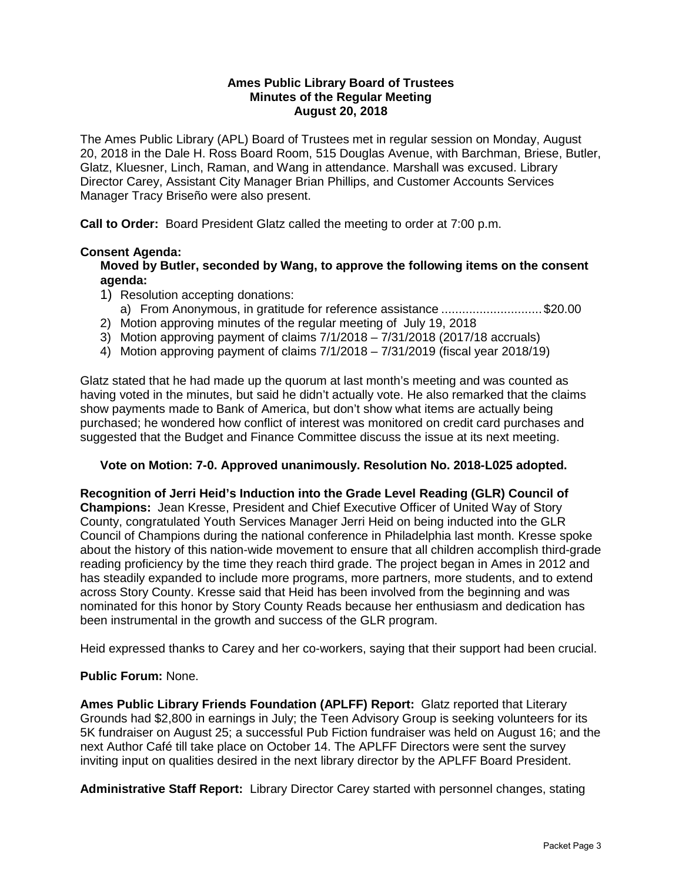#### **Ames Public Library Board of Trustees Minutes of the Regular Meeting August 20, 2018**

The Ames Public Library (APL) Board of Trustees met in regular session on Monday, August 20, 2018 in the Dale H. Ross Board Room, 515 Douglas Avenue, with Barchman, Briese, Butler, Glatz, Kluesner, Linch, Raman, and Wang in attendance. Marshall was excused. Library Director Carey, Assistant City Manager Brian Phillips, and Customer Accounts Services Manager Tracy Briseño were also present.

**Call to Order:** Board President Glatz called the meeting to order at 7:00 p.m.

## **Consent Agenda:**

**Moved by Butler, seconded by Wang, to approve the following items on the consent agenda:**

- 1) Resolution accepting donations:
- a) From Anonymous, in gratitude for reference assistance ............................. \$20.00
- 2) Motion approving minutes of the regular meeting of July 19, 2018
- 3) Motion approving payment of claims 7/1/2018 7/31/2018 (2017/18 accruals)
- 4) Motion approving payment of claims 7/1/2018 7/31/2019 (fiscal year 2018/19)

Glatz stated that he had made up the quorum at last month's meeting and was counted as having voted in the minutes, but said he didn't actually vote. He also remarked that the claims show payments made to Bank of America, but don't show what items are actually being purchased; he wondered how conflict of interest was monitored on credit card purchases and suggested that the Budget and Finance Committee discuss the issue at its next meeting.

#### **Vote on Motion: 7-0. Approved unanimously. Resolution No. 2018-L025 adopted.**

**Recognition of Jerri Heid's Induction into the Grade Level Reading (GLR) Council of Champions:** Jean Kresse, President and Chief Executive Officer of United Way of Story County, congratulated Youth Services Manager Jerri Heid on being inducted into the GLR Council of Champions during the national conference in Philadelphia last month. Kresse spoke about the history of this nation-wide movement to ensure that all children accomplish third-grade reading proficiency by the time they reach third grade. The project began in Ames in 2012 and has steadily expanded to include more programs, more partners, more students, and to extend across Story County. Kresse said that Heid has been involved from the beginning and was nominated for this honor by Story County Reads because her enthusiasm and dedication has been instrumental in the growth and success of the GLR program.

Heid expressed thanks to Carey and her co-workers, saying that their support had been crucial.

## **Public Forum:** None.

**Ames Public Library Friends Foundation (APLFF) Report:** Glatz reported that Literary Grounds had \$2,800 in earnings in July; the Teen Advisory Group is seeking volunteers for its 5K fundraiser on August 25; a successful Pub Fiction fundraiser was held on August 16; and the next Author Café till take place on October 14. The APLFF Directors were sent the survey inviting input on qualities desired in the next library director by the APLFF Board President.

**Administrative Staff Report:** Library Director Carey started with personnel changes, stating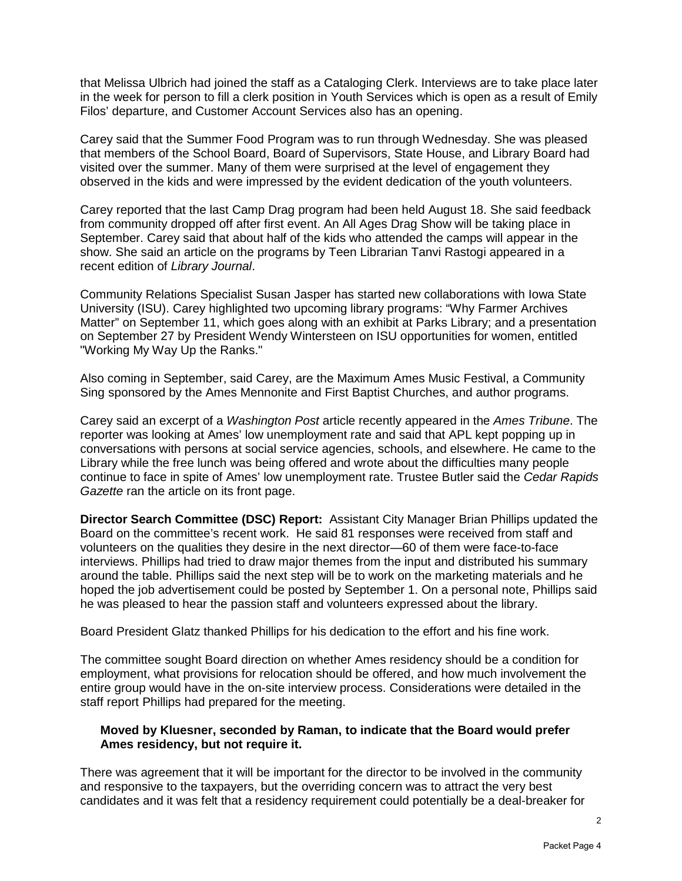that Melissa Ulbrich had joined the staff as a Cataloging Clerk. Interviews are to take place later in the week for person to fill a clerk position in Youth Services which is open as a result of Emily Filos' departure, and Customer Account Services also has an opening.

Carey said that the Summer Food Program was to run through Wednesday. She was pleased that members of the School Board, Board of Supervisors, State House, and Library Board had visited over the summer. Many of them were surprised at the level of engagement they observed in the kids and were impressed by the evident dedication of the youth volunteers.

Carey reported that the last Camp Drag program had been held August 18. She said feedback from community dropped off after first event. An All Ages Drag Show will be taking place in September. Carey said that about half of the kids who attended the camps will appear in the show. She said an article on the programs by Teen Librarian Tanvi Rastogi appeared in a recent edition of *Library Journal*.

Community Relations Specialist Susan Jasper has started new collaborations with Iowa State University (ISU). Carey highlighted two upcoming library programs: "Why Farmer Archives Matter" on September 11, which goes along with an exhibit at Parks Library; and a presentation on September 27 by President Wendy Wintersteen on ISU opportunities for women, entitled "Working My Way Up the Ranks."

Also coming in September, said Carey, are the Maximum Ames Music Festival, a Community Sing sponsored by the Ames Mennonite and First Baptist Churches, and author programs.

Carey said an excerpt of a *Washington Post* article recently appeared in the *Ames Tribune*. The reporter was looking at Ames' low unemployment rate and said that APL kept popping up in conversations with persons at social service agencies, schools, and elsewhere. He came to the Library while the free lunch was being offered and wrote about the difficulties many people continue to face in spite of Ames' low unemployment rate. Trustee Butler said the *Cedar Rapids Gazette* ran the article on its front page.

**Director Search Committee (DSC) Report:** Assistant City Manager Brian Phillips updated the Board on the committee's recent work. He said 81 responses were received from staff and volunteers on the qualities they desire in the next director—60 of them were face-to-face interviews. Phillips had tried to draw major themes from the input and distributed his summary around the table. Phillips said the next step will be to work on the marketing materials and he hoped the job advertisement could be posted by September 1. On a personal note, Phillips said he was pleased to hear the passion staff and volunteers expressed about the library.

Board President Glatz thanked Phillips for his dedication to the effort and his fine work.

The committee sought Board direction on whether Ames residency should be a condition for employment, what provisions for relocation should be offered, and how much involvement the entire group would have in the on-site interview process. Considerations were detailed in the staff report Phillips had prepared for the meeting.

#### **Moved by Kluesner, seconded by Raman, to indicate that the Board would prefer Ames residency, but not require it.**

There was agreement that it will be important for the director to be involved in the community and responsive to the taxpayers, but the overriding concern was to attract the very best candidates and it was felt that a residency requirement could potentially be a deal-breaker for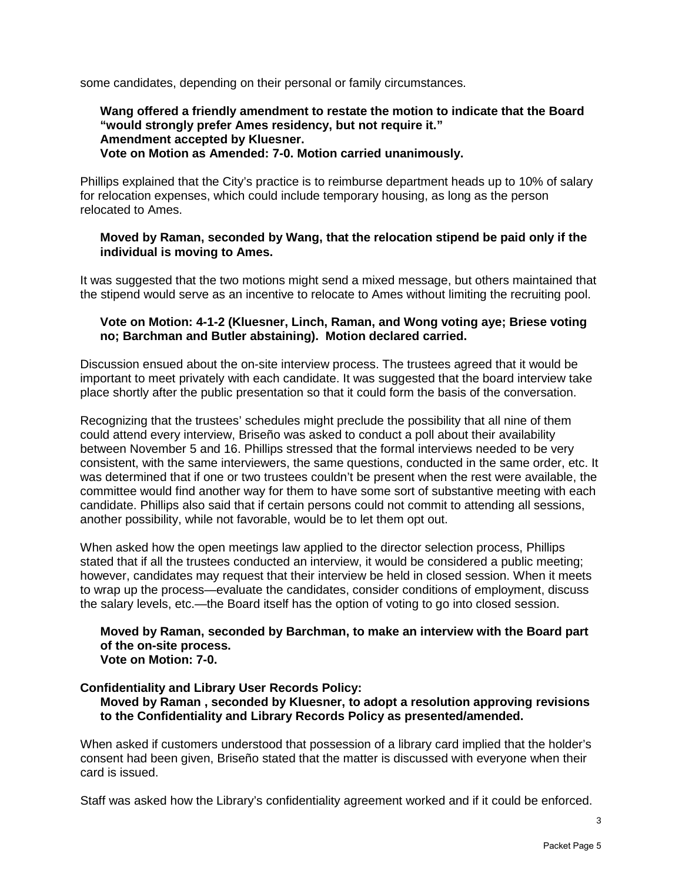some candidates, depending on their personal or family circumstances.

#### **Wang offered a friendly amendment to restate the motion to indicate that the Board "would strongly prefer Ames residency, but not require it." Amendment accepted by Kluesner. Vote on Motion as Amended: 7-0. Motion carried unanimously.**

Phillips explained that the City's practice is to reimburse department heads up to 10% of salary for relocation expenses, which could include temporary housing, as long as the person relocated to Ames.

## **Moved by Raman, seconded by Wang, that the relocation stipend be paid only if the individual is moving to Ames.**

It was suggested that the two motions might send a mixed message, but others maintained that the stipend would serve as an incentive to relocate to Ames without limiting the recruiting pool.

# **Vote on Motion: 4-1-2 (Kluesner, Linch, Raman, and Wong voting aye; Briese voting no; Barchman and Butler abstaining). Motion declared carried.**

Discussion ensued about the on-site interview process. The trustees agreed that it would be important to meet privately with each candidate. It was suggested that the board interview take place shortly after the public presentation so that it could form the basis of the conversation.

Recognizing that the trustees' schedules might preclude the possibility that all nine of them could attend every interview, Briseño was asked to conduct a poll about their availability between November 5 and 16. Phillips stressed that the formal interviews needed to be very consistent, with the same interviewers, the same questions, conducted in the same order, etc. It was determined that if one or two trustees couldn't be present when the rest were available, the committee would find another way for them to have some sort of substantive meeting with each candidate. Phillips also said that if certain persons could not commit to attending all sessions, another possibility, while not favorable, would be to let them opt out.

When asked how the open meetings law applied to the director selection process, Phillips stated that if all the trustees conducted an interview, it would be considered a public meeting; however, candidates may request that their interview be held in closed session. When it meets to wrap up the process—evaluate the candidates, consider conditions of employment, discuss the salary levels, etc.—the Board itself has the option of voting to go into closed session.

#### **Moved by Raman, seconded by Barchman, to make an interview with the Board part of the on-site process. Vote on Motion: 7-0.**

## **Confidentiality and Library User Records Policy:**

**Moved by Raman , seconded by Kluesner, to adopt a resolution approving revisions to the Confidentiality and Library Records Policy as presented/amended.**

When asked if customers understood that possession of a library card implied that the holder's consent had been given, Briseño stated that the matter is discussed with everyone when their card is issued.

Staff was asked how the Library's confidentiality agreement worked and if it could be enforced.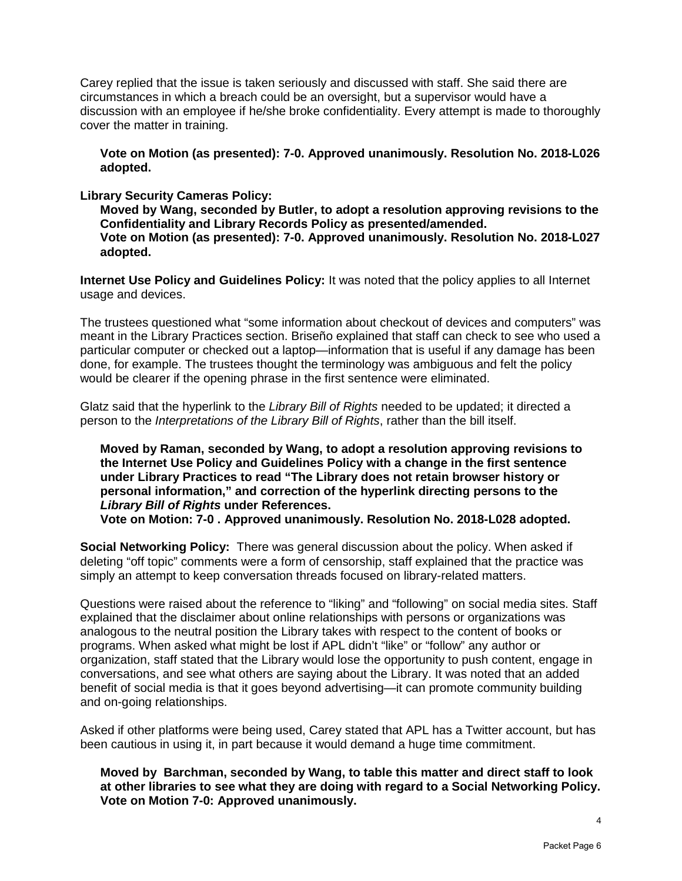Carey replied that the issue is taken seriously and discussed with staff. She said there are circumstances in which a breach could be an oversight, but a supervisor would have a discussion with an employee if he/she broke confidentiality. Every attempt is made to thoroughly cover the matter in training.

**Vote on Motion (as presented): 7-0. Approved unanimously. Resolution No. 2018-L026 adopted.**

**Library Security Cameras Policy:** 

**Moved by Wang, seconded by Butler, to adopt a resolution approving revisions to the Confidentiality and Library Records Policy as presented/amended. Vote on Motion (as presented): 7-0. Approved unanimously. Resolution No. 2018-L027 adopted.**

**Internet Use Policy and Guidelines Policy:** It was noted that the policy applies to all Internet usage and devices.

The trustees questioned what "some information about checkout of devices and computers" was meant in the Library Practices section. Briseño explained that staff can check to see who used a particular computer or checked out a laptop—information that is useful if any damage has been done, for example. The trustees thought the terminology was ambiguous and felt the policy would be clearer if the opening phrase in the first sentence were eliminated.

Glatz said that the hyperlink to the *Library Bill of Rights* needed to be updated; it directed a person to the *Interpretations of the Library Bill of Rights*, rather than the bill itself.

**Moved by Raman, seconded by Wang, to adopt a resolution approving revisions to the Internet Use Policy and Guidelines Policy with a change in the first sentence under Library Practices to read "The Library does not retain browser history or personal information," and correction of the hyperlink directing persons to the**  *Library Bill of Rights* **under References. Vote on Motion: 7-0 . Approved unanimously. Resolution No. 2018-L028 adopted.**

**Social Networking Policy:** There was general discussion about the policy. When asked if deleting "off topic" comments were a form of censorship, staff explained that the practice was simply an attempt to keep conversation threads focused on library-related matters.

Questions were raised about the reference to "liking" and "following" on social media sites. Staff explained that the disclaimer about online relationships with persons or organizations was analogous to the neutral position the Library takes with respect to the content of books or programs. When asked what might be lost if APL didn't "like" or "follow" any author or organization, staff stated that the Library would lose the opportunity to push content, engage in conversations, and see what others are saying about the Library. It was noted that an added benefit of social media is that it goes beyond advertising—it can promote community building and on-going relationships.

Asked if other platforms were being used, Carey stated that APL has a Twitter account, but has been cautious in using it, in part because it would demand a huge time commitment.

**Moved by Barchman, seconded by Wang, to table this matter and direct staff to look at other libraries to see what they are doing with regard to a Social Networking Policy. Vote on Motion 7-0: Approved unanimously.**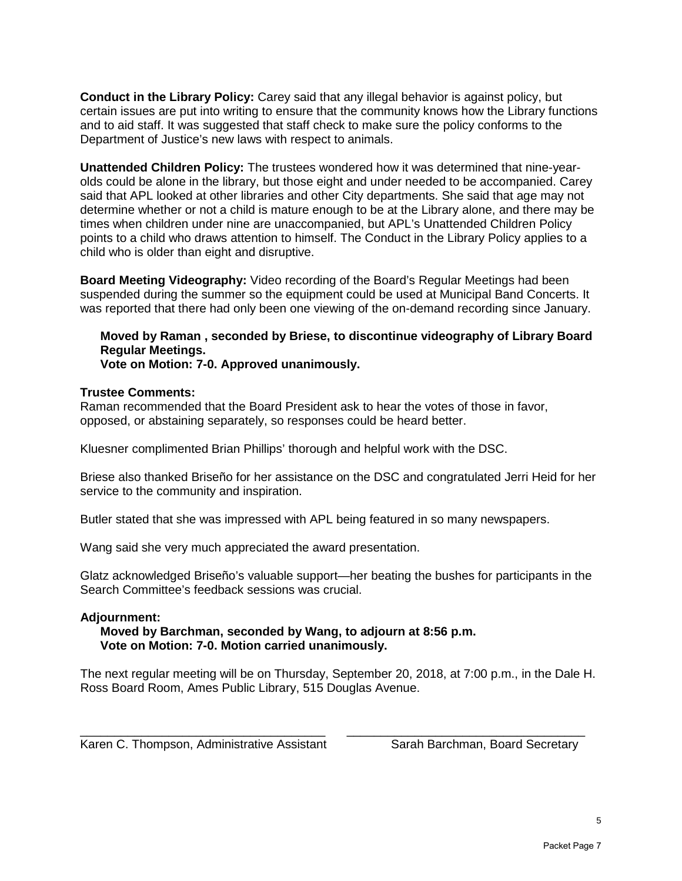**Conduct in the Library Policy:** Carey said that any illegal behavior is against policy, but certain issues are put into writing to ensure that the community knows how the Library functions and to aid staff. It was suggested that staff check to make sure the policy conforms to the Department of Justice's new laws with respect to animals.

**Unattended Children Policy:** The trustees wondered how it was determined that nine-yearolds could be alone in the library, but those eight and under needed to be accompanied. Carey said that APL looked at other libraries and other City departments. She said that age may not determine whether or not a child is mature enough to be at the Library alone, and there may be times when children under nine are unaccompanied, but APL's Unattended Children Policy points to a child who draws attention to himself. The Conduct in the Library Policy applies to a child who is older than eight and disruptive.

**Board Meeting Videography:** Video recording of the Board's Regular Meetings had been suspended during the summer so the equipment could be used at Municipal Band Concerts. It was reported that there had only been one viewing of the on-demand recording since January.

**Moved by Raman , seconded by Briese, to discontinue videography of Library Board Regular Meetings.** 

**Vote on Motion: 7-0. Approved unanimously.** 

#### **Trustee Comments:**

Raman recommended that the Board President ask to hear the votes of those in favor, opposed, or abstaining separately, so responses could be heard better.

Kluesner complimented Brian Phillips' thorough and helpful work with the DSC.

Briese also thanked Briseño for her assistance on the DSC and congratulated Jerri Heid for her service to the community and inspiration.

Butler stated that she was impressed with APL being featured in so many newspapers.

Wang said she very much appreciated the award presentation.

Glatz acknowledged Briseño's valuable support—her beating the bushes for participants in the Search Committee's feedback sessions was crucial.

## **Adjournment:**

#### **Moved by Barchman, seconded by Wang, to adjourn at 8:56 p.m. Vote on Motion: 7-0. Motion carried unanimously.**

The next regular meeting will be on Thursday, September 20, 2018, at 7:00 p.m., in the Dale H. Ross Board Room, Ames Public Library, 515 Douglas Avenue.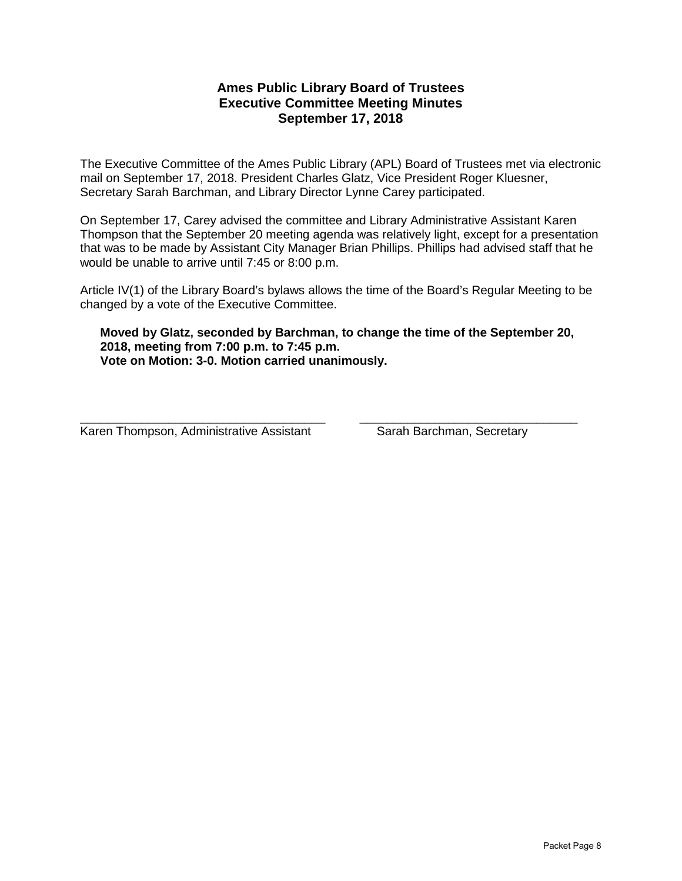# **Ames Public Library Board of Trustees Executive Committee Meeting Minutes September 17, 2018**

The Executive Committee of the Ames Public Library (APL) Board of Trustees met via electronic mail on September 17, 2018. President Charles Glatz, Vice President Roger Kluesner, Secretary Sarah Barchman, and Library Director Lynne Carey participated.

On September 17, Carey advised the committee and Library Administrative Assistant Karen Thompson that the September 20 meeting agenda was relatively light, except for a presentation that was to be made by Assistant City Manager Brian Phillips. Phillips had advised staff that he would be unable to arrive until 7:45 or 8:00 p.m.

Article IV(1) of the Library Board's bylaws allows the time of the Board's Regular Meeting to be changed by a vote of the Executive Committee.

#### **Moved by Glatz, seconded by Barchman, to change the time of the September 20, 2018, meeting from 7:00 p.m. to 7:45 p.m. Vote on Motion: 3-0. Motion carried unanimously.**

Karen Thompson, Administrative Assistant Sarah Barchman, Secretary

\_\_\_\_\_\_\_\_\_\_\_\_\_\_\_\_\_\_\_\_\_\_\_\_\_\_\_\_\_\_\_\_\_\_\_\_ \_\_\_\_\_\_\_\_\_\_\_\_\_\_\_\_\_\_\_\_\_\_\_\_\_\_\_\_\_\_\_\_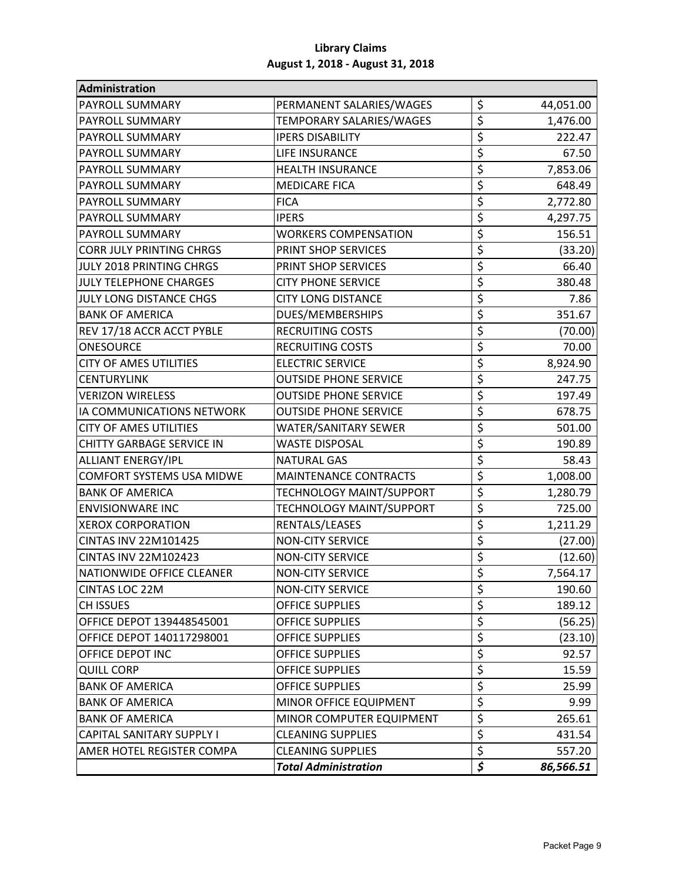| Administration                   |                              |                                     |           |
|----------------------------------|------------------------------|-------------------------------------|-----------|
| PAYROLL SUMMARY                  | PERMANENT SALARIES/WAGES     | \$                                  | 44,051.00 |
| PAYROLL SUMMARY                  | TEMPORARY SALARIES/WAGES     | \$                                  | 1,476.00  |
| PAYROLL SUMMARY                  | <b>IPERS DISABILITY</b>      | \$                                  | 222.47    |
| <b>PAYROLL SUMMARY</b>           | LIFE INSURANCE               | \$                                  | 67.50     |
| PAYROLL SUMMARY                  | <b>HEALTH INSURANCE</b>      | \$                                  | 7,853.06  |
| PAYROLL SUMMARY                  | <b>MEDICARE FICA</b>         | \$                                  | 648.49    |
| PAYROLL SUMMARY                  | <b>FICA</b>                  | \$                                  | 2,772.80  |
| PAYROLL SUMMARY                  | <b>IPERS</b>                 | \$                                  | 4,297.75  |
| PAYROLL SUMMARY                  | <b>WORKERS COMPENSATION</b>  | \$                                  | 156.51    |
| <b>CORR JULY PRINTING CHRGS</b>  | PRINT SHOP SERVICES          | \$                                  | (33.20)   |
| JULY 2018 PRINTING CHRGS         | PRINT SHOP SERVICES          | \$                                  | 66.40     |
| <b>JULY TELEPHONE CHARGES</b>    | <b>CITY PHONE SERVICE</b>    | \$                                  | 380.48    |
| <b>JULY LONG DISTANCE CHGS</b>   | <b>CITY LONG DISTANCE</b>    | \$                                  | 7.86      |
| <b>BANK OF AMERICA</b>           | DUES/MEMBERSHIPS             | \$                                  | 351.67    |
| REV 17/18 ACCR ACCT PYBLE        | <b>RECRUITING COSTS</b>      | \$                                  | (70.00)   |
| <b>ONESOURCE</b>                 | <b>RECRUITING COSTS</b>      | \$                                  | 70.00     |
| CITY OF AMES UTILITIES           | <b>ELECTRIC SERVICE</b>      | \$                                  | 8,924.90  |
| <b>CENTURYLINK</b>               | <b>OUTSIDE PHONE SERVICE</b> | \$                                  | 247.75    |
| <b>VERIZON WIRELESS</b>          | <b>OUTSIDE PHONE SERVICE</b> | \$                                  | 197.49    |
| IA COMMUNICATIONS NETWORK        | <b>OUTSIDE PHONE SERVICE</b> | \$                                  | 678.75    |
| <b>CITY OF AMES UTILITIES</b>    | <b>WATER/SANITARY SEWER</b>  | \$                                  | 501.00    |
| <b>CHITTY GARBAGE SERVICE IN</b> | <b>WASTE DISPOSAL</b>        | \$                                  | 190.89    |
| <b>ALLIANT ENERGY/IPL</b>        | <b>NATURAL GAS</b>           | \$                                  | 58.43     |
| <b>COMFORT SYSTEMS USA MIDWE</b> | <b>MAINTENANCE CONTRACTS</b> | \$                                  | 1,008.00  |
| <b>BANK OF AMERICA</b>           | TECHNOLOGY MAINT/SUPPORT     | \$                                  | 1,280.79  |
| <b>ENVISIONWARE INC</b>          | TECHNOLOGY MAINT/SUPPORT     | \$                                  | 725.00    |
| <b>XEROX CORPORATION</b>         | RENTALS/LEASES               | \$                                  | 1,211.29  |
| CINTAS INV 22M101425             | <b>NON-CITY SERVICE</b>      | \$                                  | (27.00)   |
| CINTAS INV 22M102423             | <b>NON-CITY SERVICE</b>      | \$                                  | (12.60)   |
| NATIONWIDE OFFICE CLEANER        | <b>NON-CITY SERVICE</b>      | \$                                  | 7,564.17  |
| CINTAS LOC 22M                   | <b>NON-CITY SERVICE</b>      | \$                                  | 190.60    |
| CH ISSUES                        | <b>OFFICE SUPPLIES</b>       | \$                                  | 189.12    |
| OFFICE DEPOT 139448545001        | <b>OFFICE SUPPLIES</b>       | \$                                  | (56.25)   |
| OFFICE DEPOT 140117298001        | <b>OFFICE SUPPLIES</b>       | \$                                  | (23.10)   |
| OFFICE DEPOT INC                 | <b>OFFICE SUPPLIES</b>       | $\overline{\boldsymbol{\varsigma}}$ | 92.57     |
| <b>QUILL CORP</b>                | <b>OFFICE SUPPLIES</b>       | \$                                  | 15.59     |
| <b>BANK OF AMERICA</b>           | <b>OFFICE SUPPLIES</b>       | \$                                  | 25.99     |
| <b>BANK OF AMERICA</b>           | MINOR OFFICE EQUIPMENT       | \$                                  | 9.99      |
| <b>BANK OF AMERICA</b>           | MINOR COMPUTER EQUIPMENT     | \$                                  | 265.61    |
| <b>CAPITAL SANITARY SUPPLY I</b> | <b>CLEANING SUPPLIES</b>     | $\overline{\xi}$                    | 431.54    |
| AMER HOTEL REGISTER COMPA        | <b>CLEANING SUPPLIES</b>     | \$                                  | 557.20    |
|                                  | <b>Total Administration</b>  | \$                                  | 86,566.51 |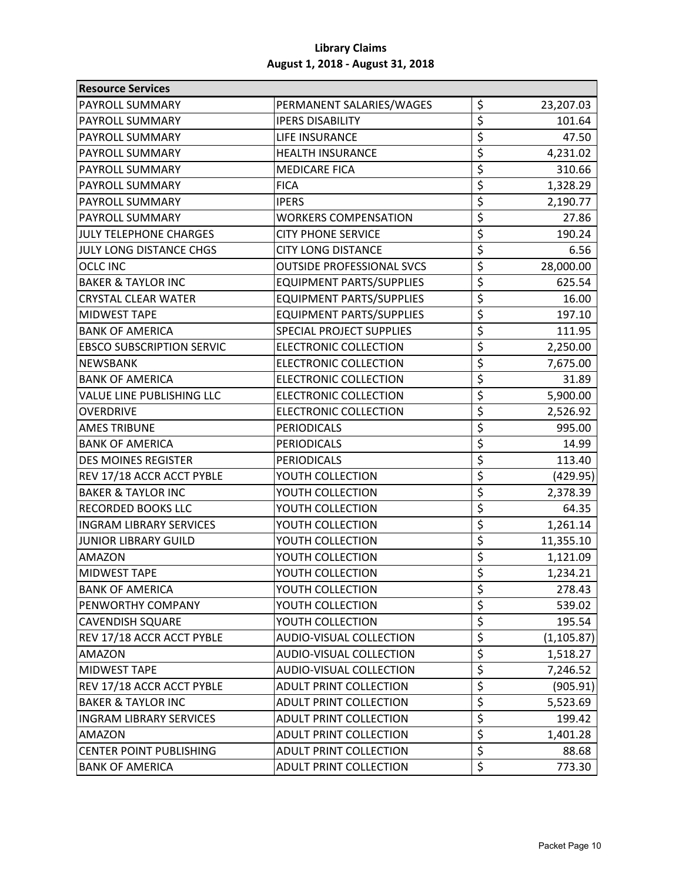| <b>Resource Services</b>         |                                  |                                     |             |
|----------------------------------|----------------------------------|-------------------------------------|-------------|
| PAYROLL SUMMARY                  | PERMANENT SALARIES/WAGES         | \$                                  | 23,207.03   |
| <b>PAYROLL SUMMARY</b>           | <b>IPERS DISABILITY</b>          | $\overline{\boldsymbol{\varsigma}}$ | 101.64      |
| PAYROLL SUMMARY                  | LIFE INSURANCE                   | \$                                  | 47.50       |
| PAYROLL SUMMARY                  | <b>HEALTH INSURANCE</b>          | \$                                  | 4,231.02    |
| PAYROLL SUMMARY                  | <b>MEDICARE FICA</b>             | \$                                  | 310.66      |
| PAYROLL SUMMARY                  | <b>FICA</b>                      | \$                                  | 1,328.29    |
| PAYROLL SUMMARY                  | <b>IPERS</b>                     | \$                                  | 2,190.77    |
| PAYROLL SUMMARY                  | <b>WORKERS COMPENSATION</b>      | \$                                  | 27.86       |
| <b>JULY TELEPHONE CHARGES</b>    | <b>CITY PHONE SERVICE</b>        | $\overline{\boldsymbol{\varsigma}}$ | 190.24      |
| <b>JULY LONG DISTANCE CHGS</b>   | <b>CITY LONG DISTANCE</b>        | \$                                  | 6.56        |
| <b>OCLC INC</b>                  | <b>OUTSIDE PROFESSIONAL SVCS</b> | \$                                  | 28,000.00   |
| <b>BAKER &amp; TAYLOR INC</b>    | <b>EQUIPMENT PARTS/SUPPLIES</b>  | \$                                  | 625.54      |
| <b>CRYSTAL CLEAR WATER</b>       | <b>EQUIPMENT PARTS/SUPPLIES</b>  | \$                                  | 16.00       |
| MIDWEST TAPE                     | <b>EQUIPMENT PARTS/SUPPLIES</b>  | $\overline{\xi}$                    | 197.10      |
| <b>BANK OF AMERICA</b>           | <b>SPECIAL PROJECT SUPPLIES</b>  | \$                                  | 111.95      |
| <b>EBSCO SUBSCRIPTION SERVIC</b> | <b>ELECTRONIC COLLECTION</b>     | \$                                  | 2,250.00    |
| NEWSBANK                         | <b>ELECTRONIC COLLECTION</b>     | \$                                  | 7,675.00    |
| <b>BANK OF AMERICA</b>           | <b>ELECTRONIC COLLECTION</b>     | \$                                  | 31.89       |
| VALUE LINE PUBLISHING LLC        | <b>ELECTRONIC COLLECTION</b>     | \$                                  | 5,900.00    |
| <b>OVERDRIVE</b>                 | ELECTRONIC COLLECTION            | \$                                  | 2,526.92    |
| <b>AMES TRIBUNE</b>              | <b>PERIODICALS</b>               | \$                                  | 995.00      |
| <b>BANK OF AMERICA</b>           | <b>PERIODICALS</b>               | \$                                  | 14.99       |
| <b>DES MOINES REGISTER</b>       | <b>PERIODICALS</b>               | \$                                  | 113.40      |
| REV 17/18 ACCR ACCT PYBLE        | YOUTH COLLECTION                 | \$                                  | (429.95)    |
| <b>BAKER &amp; TAYLOR INC</b>    | YOUTH COLLECTION                 | \$                                  | 2,378.39    |
| <b>RECORDED BOOKS LLC</b>        | YOUTH COLLECTION                 | \$                                  | 64.35       |
| <b>INGRAM LIBRARY SERVICES</b>   | YOUTH COLLECTION                 | \$                                  | 1,261.14    |
| <b>JUNIOR LIBRARY GUILD</b>      | YOUTH COLLECTION                 | $\overline{\xi}$                    | 11,355.10   |
| <b>AMAZON</b>                    | YOUTH COLLECTION                 | $\overline{\xi}$                    | 1,121.09    |
| <b>MIDWEST TAPE</b>              | YOUTH COLLECTION                 | \$                                  | 1,234.21    |
| <b>BANK OF AMERICA</b>           | YOUTH COLLECTION                 | \$                                  | 278.43      |
| PENWORTHY COMPANY                | YOUTH COLLECTION                 | \$                                  | 539.02      |
| <b>CAVENDISH SQUARE</b>          | YOUTH COLLECTION                 | \$                                  | 195.54      |
| REV 17/18 ACCR ACCT PYBLE        | <b>AUDIO-VISUAL COLLECTION</b>   | $\overline{\boldsymbol{\zeta}}$     | (1, 105.87) |
| AMAZON                           | AUDIO-VISUAL COLLECTION          | \$                                  | 1,518.27    |
| <b>MIDWEST TAPE</b>              | <b>AUDIO-VISUAL COLLECTION</b>   | $\overline{\boldsymbol{\varsigma}}$ | 7,246.52    |
| REV 17/18 ACCR ACCT PYBLE        | ADULT PRINT COLLECTION           | \$                                  | (905.91)    |
| <b>BAKER &amp; TAYLOR INC</b>    | ADULT PRINT COLLECTION           | \$                                  | 5,523.69    |
| <b>INGRAM LIBRARY SERVICES</b>   | ADULT PRINT COLLECTION           | \$                                  | 199.42      |
| <b>AMAZON</b>                    | <b>ADULT PRINT COLLECTION</b>    | $\overline{\boldsymbol{\zeta}}$     | 1,401.28    |
| <b>CENTER POINT PUBLISHING</b>   | ADULT PRINT COLLECTION           | \$                                  | 88.68       |
| <b>BANK OF AMERICA</b>           | ADULT PRINT COLLECTION           | \$                                  | 773.30      |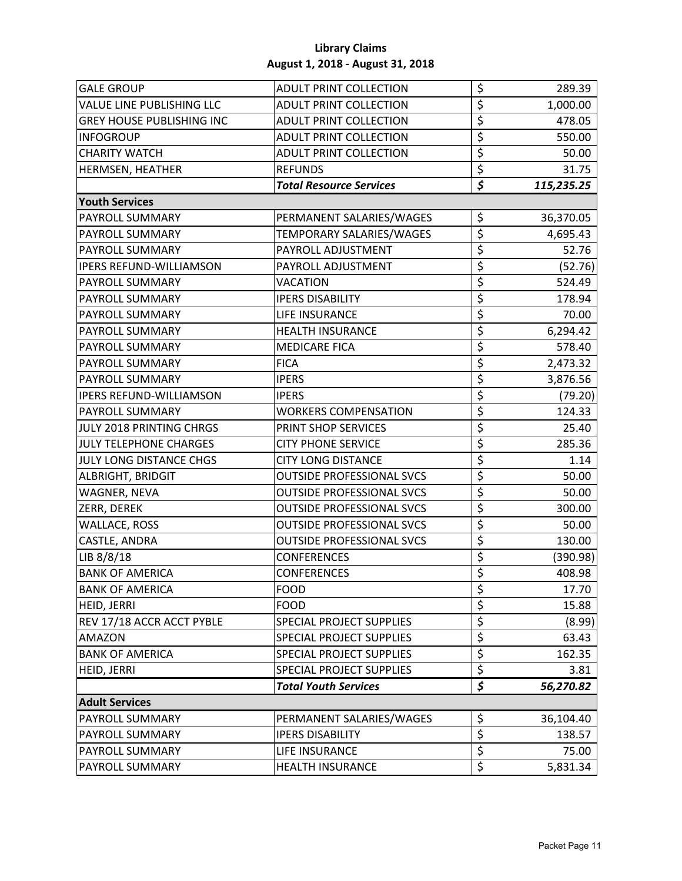| <b>GALE GROUP</b>                | <b>ADULT PRINT COLLECTION</b>    | \$                                  | 289.39     |
|----------------------------------|----------------------------------|-------------------------------------|------------|
| <b>VALUE LINE PUBLISHING LLC</b> | <b>ADULT PRINT COLLECTION</b>    | \$                                  | 1,000.00   |
| <b>GREY HOUSE PUBLISHING INC</b> | <b>ADULT PRINT COLLECTION</b>    | \$                                  | 478.05     |
| <b>INFOGROUP</b>                 | <b>ADULT PRINT COLLECTION</b>    | \$                                  | 550.00     |
| <b>CHARITY WATCH</b>             | <b>ADULT PRINT COLLECTION</b>    | \$                                  | 50.00      |
| <b>HERMSEN, HEATHER</b>          | <b>REFUNDS</b>                   | \$                                  | 31.75      |
|                                  | <b>Total Resource Services</b>   | \$                                  | 115,235.25 |
| <b>Youth Services</b>            |                                  |                                     |            |
| <b>PAYROLL SUMMARY</b>           | PERMANENT SALARIES/WAGES         | \$                                  | 36,370.05  |
| PAYROLL SUMMARY                  | TEMPORARY SALARIES/WAGES         | \$                                  | 4,695.43   |
| <b>PAYROLL SUMMARY</b>           | PAYROLL ADJUSTMENT               | \$                                  | 52.76      |
| <b>IPERS REFUND-WILLIAMSON</b>   | PAYROLL ADJUSTMENT               | \$                                  | (52.76)    |
| PAYROLL SUMMARY                  | VACATION                         | \$                                  | 524.49     |
| PAYROLL SUMMARY                  | <b>IPERS DISABILITY</b>          | \$                                  | 178.94     |
| <b>PAYROLL SUMMARY</b>           | <b>LIFE INSURANCE</b>            | \$                                  | 70.00      |
| <b>PAYROLL SUMMARY</b>           | <b>HEALTH INSURANCE</b>          | \$                                  | 6,294.42   |
| PAYROLL SUMMARY                  | <b>MEDICARE FICA</b>             | \$                                  | 578.40     |
| <b>PAYROLL SUMMARY</b>           | <b>FICA</b>                      | \$                                  | 2,473.32   |
| <b>PAYROLL SUMMARY</b>           | <b>IPERS</b>                     | \$                                  | 3,876.56   |
| <b>IPERS REFUND-WILLIAMSON</b>   | <b>IPERS</b>                     | \$                                  | (79.20)    |
| <b>PAYROLL SUMMARY</b>           | <b>WORKERS COMPENSATION</b>      | \$                                  | 124.33     |
| JULY 2018 PRINTING CHRGS         | PRINT SHOP SERVICES              | \$                                  | 25.40      |
| <b>JULY TELEPHONE CHARGES</b>    | <b>CITY PHONE SERVICE</b>        | \$                                  | 285.36     |
| JULY LONG DISTANCE CHGS          | <b>CITY LONG DISTANCE</b>        | \$                                  | 1.14       |
| <b>ALBRIGHT, BRIDGIT</b>         | <b>OUTSIDE PROFESSIONAL SVCS</b> | \$                                  | 50.00      |
| WAGNER, NEVA                     | <b>OUTSIDE PROFESSIONAL SVCS</b> | \$                                  | 50.00      |
| <b>ZERR, DEREK</b>               | <b>OUTSIDE PROFESSIONAL SVCS</b> | \$                                  | 300.00     |
| <b>WALLACE, ROSS</b>             | <b>OUTSIDE PROFESSIONAL SVCS</b> | \$                                  | 50.00      |
| CASTLE, ANDRA                    | <b>OUTSIDE PROFESSIONAL SVCS</b> | \$                                  | 130.00     |
| LIB 8/8/18                       | <b>CONFERENCES</b>               | $\overline{\boldsymbol{\varsigma}}$ | (390.98)   |
| <b>BANK OF AMERICA</b>           | <b>CONFERENCES</b>               | $\overline{\mathsf{s}}$             | 408.98     |
| <b>BANK OF AMERICA</b>           | <b>FOOD</b>                      | \$                                  | 17.70      |
| HEID, JERRI                      | <b>FOOD</b>                      | \$                                  | 15.88      |
| REV 17/18 ACCR ACCT PYBLE        | SPECIAL PROJECT SUPPLIES         | $\overline{\boldsymbol{\varsigma}}$ | (8.99)     |
| <b>AMAZON</b>                    | SPECIAL PROJECT SUPPLIES         | \$                                  | 63.43      |
| <b>BANK OF AMERICA</b>           | SPECIAL PROJECT SUPPLIES         | \$                                  | 162.35     |
| HEID, JERRI                      | <b>SPECIAL PROJECT SUPPLIES</b>  | \$                                  | 3.81       |
|                                  | <b>Total Youth Services</b>      | $\overline{\boldsymbol{\zeta}}$     | 56,270.82  |
| <b>Adult Services</b>            |                                  |                                     |            |
| PAYROLL SUMMARY                  | PERMANENT SALARIES/WAGES         | \$                                  | 36,104.40  |
| PAYROLL SUMMARY                  | <b>IPERS DISABILITY</b>          | \$                                  | 138.57     |
| PAYROLL SUMMARY                  | LIFE INSURANCE                   | \$                                  | 75.00      |
| PAYROLL SUMMARY                  | <b>HEALTH INSURANCE</b>          | $\overline{\xi}$                    | 5,831.34   |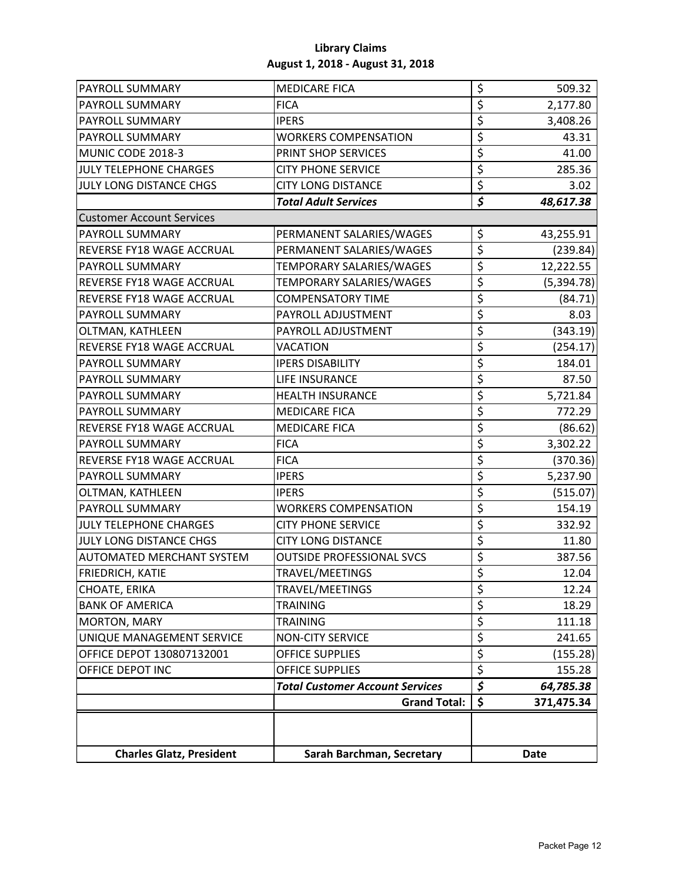| PAYROLL SUMMARY                  | <b>MEDICARE FICA</b>                   | \$                              | 509.32      |
|----------------------------------|----------------------------------------|---------------------------------|-------------|
| <b>PAYROLL SUMMARY</b>           | <b>FICA</b>                            | \$                              | 2,177.80    |
| PAYROLL SUMMARY                  | <b>IPERS</b>                           | \$                              | 3,408.26    |
| PAYROLL SUMMARY                  | <b>WORKERS COMPENSATION</b>            | \$                              | 43.31       |
| MUNIC CODE 2018-3                | PRINT SHOP SERVICES                    | \$                              | 41.00       |
| JULY TELEPHONE CHARGES           | <b>CITY PHONE SERVICE</b>              | \$                              | 285.36      |
| JULY LONG DISTANCE CHGS          | <b>CITY LONG DISTANCE</b>              | $\overline{\xi}$                | 3.02        |
|                                  | <b>Total Adult Services</b>            | \$                              | 48,617.38   |
| <b>Customer Account Services</b> |                                        |                                 |             |
| PAYROLL SUMMARY                  | PERMANENT SALARIES/WAGES               | \$                              | 43,255.91   |
| REVERSE FY18 WAGE ACCRUAL        | PERMANENT SALARIES/WAGES               | \$                              | (239.84)    |
| PAYROLL SUMMARY                  | TEMPORARY SALARIES/WAGES               | \$                              | 12,222.55   |
| REVERSE FY18 WAGE ACCRUAL        | TEMPORARY SALARIES/WAGES               | \$                              | (5, 394.78) |
| REVERSE FY18 WAGE ACCRUAL        | <b>COMPENSATORY TIME</b>               | $\overline{\xi}$                | (84.71)     |
| PAYROLL SUMMARY                  | PAYROLL ADJUSTMENT                     | \$                              | 8.03        |
| OLTMAN, KATHLEEN                 | PAYROLL ADJUSTMENT                     | \$                              | (343.19)    |
| REVERSE FY18 WAGE ACCRUAL        | VACATION                               | \$                              | (254.17)    |
| PAYROLL SUMMARY                  | <b>IPERS DISABILITY</b>                | \$                              | 184.01      |
| <b>PAYROLL SUMMARY</b>           | LIFE INSURANCE                         | \$                              | 87.50       |
| <b>PAYROLL SUMMARY</b>           | <b>HEALTH INSURANCE</b>                | \$                              | 5,721.84    |
| <b>PAYROLL SUMMARY</b>           | <b>MEDICARE FICA</b>                   | \$                              | 772.29      |
| REVERSE FY18 WAGE ACCRUAL        | <b>MEDICARE FICA</b>                   | \$                              | (86.62)     |
| <b>PAYROLL SUMMARY</b>           | <b>FICA</b>                            | \$                              | 3,302.22    |
| REVERSE FY18 WAGE ACCRUAL        | <b>FICA</b>                            | \$                              | (370.36)    |
| <b>PAYROLL SUMMARY</b>           | <b>IPERS</b>                           | \$                              | 5,237.90    |
| OLTMAN, KATHLEEN                 | <b>IPERS</b>                           | $\overline{\boldsymbol{\zeta}}$ | (515.07)    |
| PAYROLL SUMMARY                  | <b>WORKERS COMPENSATION</b>            | \$                              | 154.19      |
| JULY TELEPHONE CHARGES           | <b>CITY PHONE SERVICE</b>              | \$                              | 332.92      |
| JULY LONG DISTANCE CHGS          | <b>CITY LONG DISTANCE</b>              | \$                              | 11.80       |
| <b>AUTOMATED MERCHANT SYSTEM</b> | <b>OUTSIDE PROFESSIONAL SVCS</b>       | $\overline{\xi}$                | 387.56      |
| <b>FRIEDRICH, KATIE</b>          | TRAVEL/MEETINGS                        | $\overline{\mathsf{S}}$         | 12.04       |
| CHOATE, ERIKA                    | TRAVEL/MEETINGS                        | \$                              | 12.24       |
| <b>BANK OF AMERICA</b>           | <b>TRAINING</b>                        | $\overline{\boldsymbol{\zeta}}$ | 18.29       |
| MORTON, MARY                     | <b>TRAINING</b>                        | \$                              | 111.18      |
| UNIQUE MANAGEMENT SERVICE        | <b>NON-CITY SERVICE</b>                | \$                              | 241.65      |
| OFFICE DEPOT 130807132001        | OFFICE SUPPLIES                        | \$                              | (155.28)    |
| OFFICE DEPOT INC                 | OFFICE SUPPLIES                        | \$                              | 155.28      |
|                                  | <b>Total Customer Account Services</b> | \$                              | 64,785.38   |
|                                  | <b>Grand Total:</b>                    | \$                              | 371,475.34  |
|                                  |                                        |                                 |             |
| <b>Charles Glatz, President</b>  | Sarah Barchman, Secretary              |                                 | <b>Date</b> |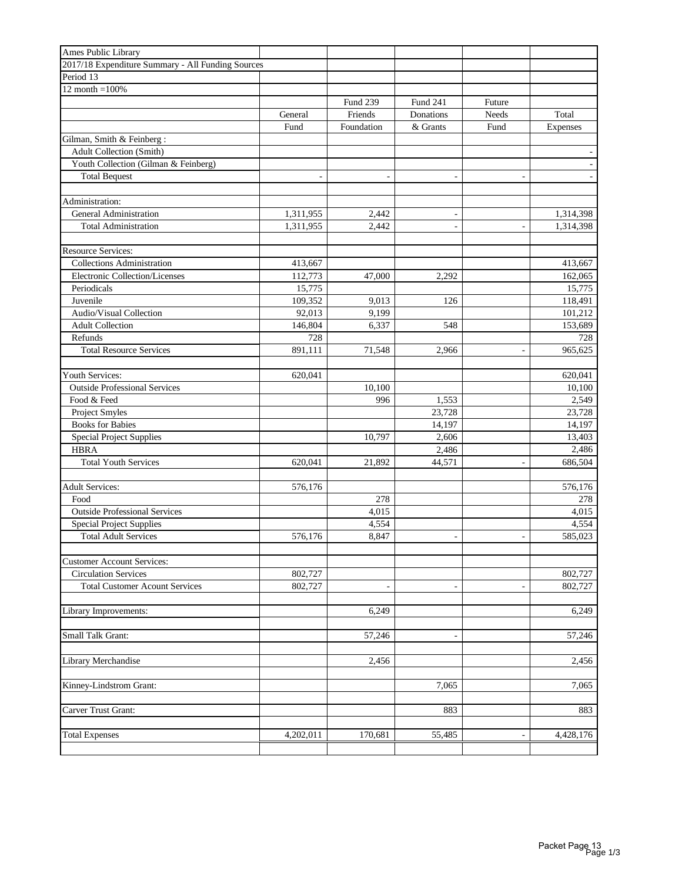| Ames Public Library                               |                          |                          |                          |                          |           |
|---------------------------------------------------|--------------------------|--------------------------|--------------------------|--------------------------|-----------|
| 2017/18 Expenditure Summary - All Funding Sources |                          |                          |                          |                          |           |
| Period 13                                         |                          |                          |                          |                          |           |
| $12$ month = $100\%$                              |                          |                          |                          |                          |           |
|                                                   |                          | Fund 239                 | <b>Fund 241</b>          | Future                   |           |
|                                                   | General                  | Friends                  | Donations                | Needs                    | Total     |
|                                                   | Fund                     | Foundation               | & Grants                 | Fund                     | Expenses  |
| Gilman, Smith & Feinberg:                         |                          |                          |                          |                          |           |
| <b>Adult Collection (Smith)</b>                   |                          |                          |                          |                          |           |
| Youth Collection (Gilman & Feinberg)              |                          |                          |                          |                          |           |
| <b>Total Bequest</b>                              | $\overline{\phantom{a}}$ | $\overline{\phantom{m}}$ | $\overline{\phantom{a}}$ | $\overline{\phantom{a}}$ |           |
|                                                   |                          |                          |                          |                          |           |
| Administration:                                   |                          |                          |                          |                          |           |
| General Administration                            | 1,311,955                | 2,442                    | $\overline{\phantom{a}}$ |                          | 1,314,398 |
| <b>Total Administration</b>                       | 1,311,955                | 2,442                    | $\overline{\phantom{a}}$ | $\overline{\phantom{a}}$ | 1,314,398 |
|                                                   |                          |                          |                          |                          |           |
| <b>Resource Services:</b>                         |                          |                          |                          |                          |           |
| <b>Collections Administration</b>                 | 413,667                  |                          |                          |                          | 413,667   |
| Electronic Collection/Licenses                    | 112,773                  | 47,000                   | 2,292                    |                          | 162,065   |
| Periodicals                                       | 15,775                   |                          |                          |                          | 15,775    |
| Juvenile                                          | 109,352                  | 9,013                    | 126                      |                          | 118,491   |
| Audio/Visual Collection                           | 92.013                   | 9,199                    |                          |                          | 101,212   |
| <b>Adult Collection</b>                           | 146,804                  | 6,337                    | 548                      |                          | 153,689   |
|                                                   |                          |                          |                          |                          |           |
| Refunds<br><b>Total Resource Services</b>         | 728                      |                          |                          |                          | 728       |
|                                                   | 891,111                  | 71,548                   | 2.966                    | $\sim$                   | 965,625   |
|                                                   |                          |                          |                          |                          |           |
| Youth Services:                                   | 620,041                  |                          |                          |                          | 620,041   |
| <b>Outside Professional Services</b>              |                          | 10,100                   |                          |                          | 10,100    |
| Food & Feed                                       |                          | 996                      | 1,553                    |                          | 2,549     |
| Project Smyles                                    |                          |                          | 23,728                   |                          | 23,728    |
| <b>Books for Babies</b>                           |                          |                          | 14,197                   |                          | 14,197    |
| <b>Special Project Supplies</b>                   |                          | 10,797                   | 2,606                    |                          | 13,403    |
| <b>HBRA</b>                                       |                          |                          | 2,486                    |                          | 2,486     |
| <b>Total Youth Services</b>                       | 620,041                  | 21,892                   | 44,571                   |                          | 686,504   |
|                                                   |                          |                          |                          |                          |           |
| <b>Adult Services:</b>                            | 576,176                  |                          |                          |                          | 576,176   |
| Food                                              |                          | 278                      |                          |                          | 278       |
| <b>Outside Professional Services</b>              |                          | 4,015                    |                          |                          | 4,015     |
| <b>Special Project Supplies</b>                   |                          | 4,554                    |                          |                          | 4,554     |
| <b>Total Adult Services</b>                       | 576,176                  | 8,847                    | $\overline{\phantom{a}}$ | $\overline{\phantom{a}}$ | 585,023   |
|                                                   |                          |                          |                          |                          |           |
| <b>Customer Account Services:</b>                 |                          |                          |                          |                          |           |
| <b>Circulation Services</b>                       | 802,727                  |                          |                          |                          | 802,727   |
| <b>Total Customer Acount Services</b>             | 802,727                  | $\overline{\phantom{a}}$ | $\overline{\phantom{a}}$ | $\overline{\phantom{a}}$ | 802,727   |
|                                                   |                          |                          |                          |                          |           |
| Library Improvements:                             |                          | 6,249                    |                          |                          | 6,249     |
|                                                   |                          |                          |                          |                          |           |
| Small Talk Grant:                                 |                          | 57,246                   |                          |                          | 57,246    |
|                                                   |                          |                          |                          |                          |           |
| Library Merchandise                               |                          | 2,456                    |                          |                          | 2,456     |
|                                                   |                          |                          |                          |                          |           |
| Kinney-Lindstrom Grant:                           |                          |                          | 7,065                    |                          | 7,065     |
|                                                   |                          |                          |                          |                          |           |
| Carver Trust Grant:                               |                          |                          | 883                      |                          | 883       |
|                                                   |                          |                          |                          |                          |           |
| <b>Total Expenses</b>                             | 4,202,011                | 170,681                  | 55,485                   | $\overline{\phantom{a}}$ | 4,428,176 |
|                                                   |                          |                          |                          |                          |           |
|                                                   |                          |                          |                          |                          |           |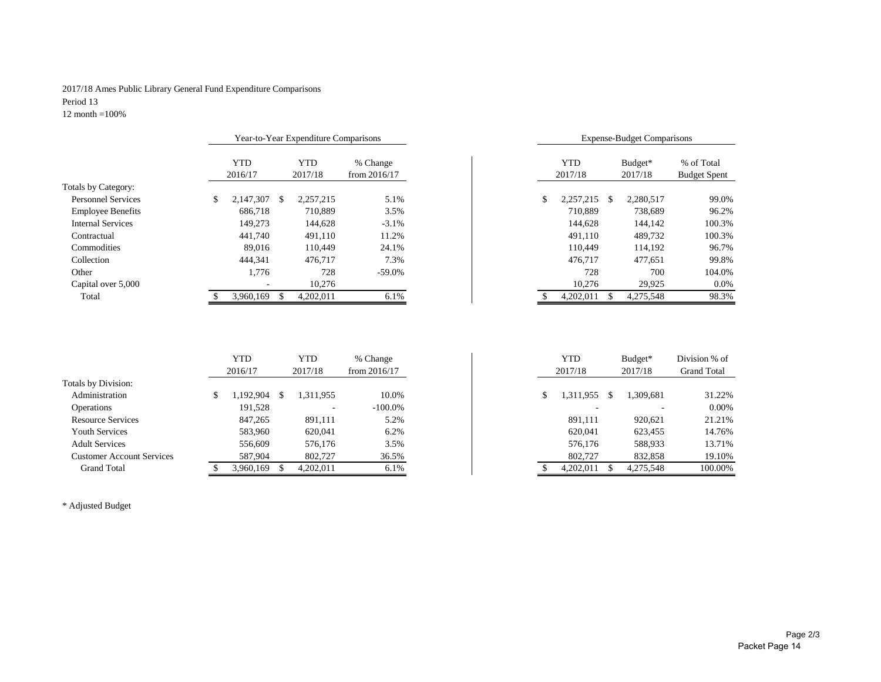#### 2017/18 Ames Public Library General Fund Expenditure Comparisons Period 13

12 month =100%

|                  |                     |                                                                                         | <b>Expense-Budget Comparisons</b>                                                                  |
|------------------|---------------------|-----------------------------------------------------------------------------------------|----------------------------------------------------------------------------------------------------|
| <b>YTD</b>       | % Change            | <b>YTD</b>                                                                              | % of Total<br>Budget*                                                                              |
| 2016/17          | from $2016/17$      |                                                                                         | 2017/18<br><b>Budget Spent</b>                                                                     |
|                  |                     |                                                                                         |                                                                                                    |
| 2.147.307<br>-\$ | 5.1%                |                                                                                         | 2.280.517<br>99.0%                                                                                 |
| 686,718          | 3.5%<br>710.889     |                                                                                         | 96.2%<br>738,689                                                                                   |
| 149,273          | 144,628<br>$-3.1\%$ |                                                                                         | 144.142<br>100.3%                                                                                  |
| 441,740          | 11.2%<br>491,110    |                                                                                         | 100.3%<br>489,732                                                                                  |
| 89,016           | 24.1%<br>110.449    |                                                                                         | 96.7%<br>114.192                                                                                   |
| 444.341          | 476,717<br>7.3%     |                                                                                         | 477.651<br>99.8%                                                                                   |
| 1.776            | 728<br>$-59.0\%$    |                                                                                         | 104.0%<br>728<br>700                                                                               |
|                  | 10,276              |                                                                                         | 0.0%<br>29,925                                                                                     |
| 3.960.169        | 6.1%                |                                                                                         | 98.3%<br>4,275,548                                                                                 |
|                  |                     | Year-to-Year Expenditure Comparisons<br><b>YTD</b><br>2017/18<br>2.257.215<br>4,202,011 | 2017/18<br>2,257,215<br>710.889<br>144,628<br>491,110<br>110.449<br>476,717<br>10,276<br>4,202,011 |

| Year-to-Year Expenditure Comparisons |     |                |                            |    |                       | <b>Expense-Budget Comparisons</b> |                    |                                   |
|--------------------------------------|-----|----------------|----------------------------|----|-----------------------|-----------------------------------|--------------------|-----------------------------------|
| <b>YTD</b><br>2016/17                |     | YTD<br>2017/18 | % Change<br>from $2016/17$ |    | <b>YTD</b><br>2017/18 |                                   | Budget*<br>2017/18 | % of Total<br><b>Budget Spent</b> |
|                                      |     |                |                            |    |                       |                                   |                    |                                   |
| 2,147,307                            | \$. | 2.257.215      | 5.1%                       | \$ | 2.257.215             | \$.                               | 2,280,517          | 99.0%                             |
| 686,718                              |     | 710.889        | 3.5%                       |    | 710.889               |                                   | 738,689            | 96.2%                             |
| 149,273                              |     | 144,628        | $-3.1%$                    |    | 144,628               |                                   | 144.142            | 100.3%                            |
| 441,740                              |     | 491.110        | 11.2%                      |    | 491.110               |                                   | 489.732            | 100.3%                            |
| 89,016                               |     | 110.449        | 24.1%                      |    | 110.449               |                                   | 114,192            | 96.7%                             |
| 444.341                              |     | 476.717        | 7.3%                       |    | 476.717               |                                   | 477,651            | 99.8%                             |
| 1,776                                |     | 728            | $-59.0\%$                  |    | 728                   |                                   | 700                | 104.0%                            |
|                                      |     | 10,276         |                            |    | 10.276                |                                   | 29.925             | 0.0%                              |
| 3,960,169                            | \$. | 4.202.011      | 6.1%                       |    | 4.202.011             | \$.                               | 4,275,548          | 98.3%                             |

|                                  | YTD       | YTD       | % Change       |  | YTD       |    | Budget*   | Division % of      |
|----------------------------------|-----------|-----------|----------------|--|-----------|----|-----------|--------------------|
|                                  | 2016/17   | 2017/18   | from $2016/17$ |  | 2017/18   |    | 2017/18   | <b>Grand Total</b> |
| Totals by Division:              |           |           |                |  |           |    |           |                    |
| Administration                   | .192,904  | 1,311,955 | 10.0%          |  | 1,311,955 | S. | 1,309,681 | 31.22%             |
| Operations                       | 191,528   | ۰         | $-100.0\%$     |  |           |    |           | 0.00%              |
| <b>Resource Services</b>         | 847,265   | 891,111   | 5.2%           |  | 891,111   |    | 920,621   | 21.21%             |
| Youth Services                   | 583,960   | 620,041   | 6.2%           |  | 620.041   |    | 623,455   | 14.76%             |
| <b>Adult Services</b>            | 556,609   | 576,176   | 3.5%           |  | 576.176   |    | 588,933   | 13.71%             |
| <b>Customer Account Services</b> | 587,904   | 802.727   | 36.5%          |  | 802.727   |    | 832,858   | 19.10%             |
| <b>Grand Total</b>               | 3,960,169 | 4,202,011 | 6.1%           |  | 4,202,011 |    | 4,275,548 | 100.00%            |

\* Adjusted Budget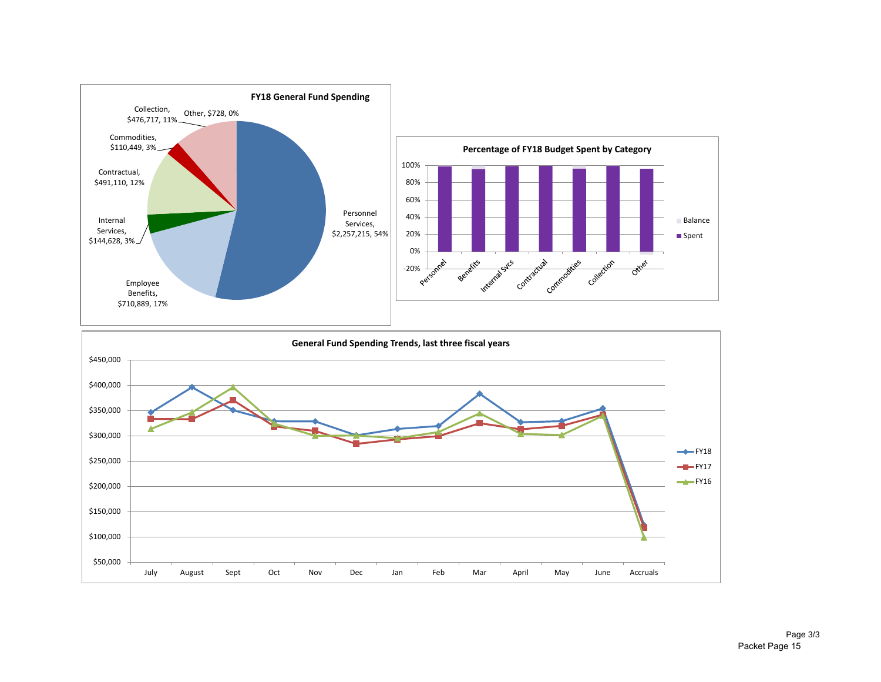

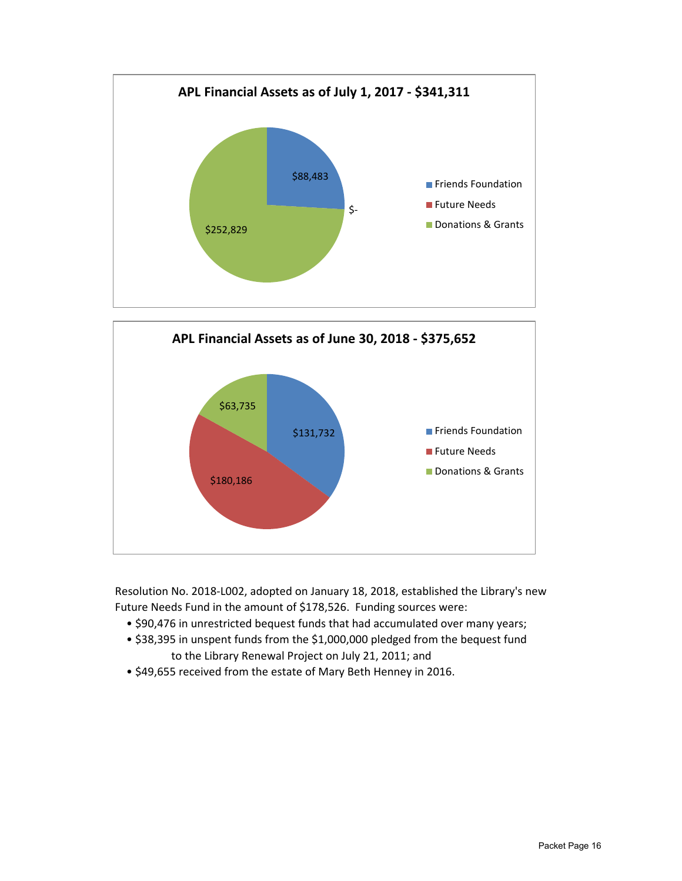



Resolution No. 2018-L002, adopted on January 18, 2018, established the Library's new Future Needs Fund in the amount of \$178,526. Funding sources were:

- \$90,476 in unrestricted bequest funds that had accumulated over many years;
- \$38,395 in unspent funds from the \$1,000,000 pledged from the bequest fund to the Library Renewal Project on July 21, 2011; and
- \$49,655 received from the estate of Mary Beth Henney in 2016.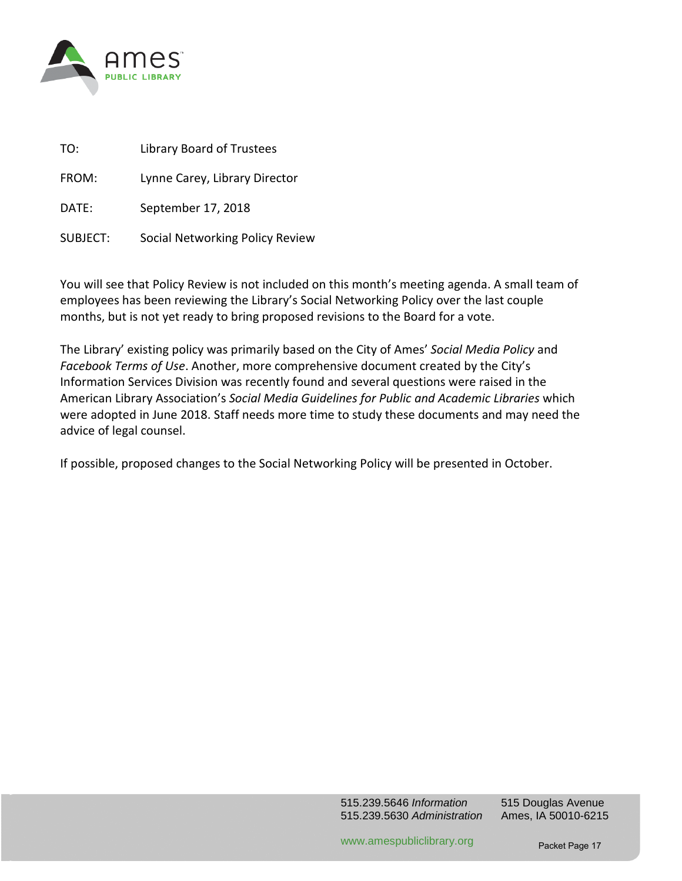

| TO:      | <b>Library Board of Trustees</b> |
|----------|----------------------------------|
| FROM:    | Lynne Carey, Library Director    |
| DATF:    | September 17, 2018               |
| SUBJECT: | Social Networking Policy Review  |

You will see that Policy Review is not included on this month's meeting agenda. A small team of employees has been reviewing the Library's Social Networking Policy over the last couple months, but is not yet ready to bring proposed revisions to the Board for a vote.

The Library' existing policy was primarily based on the City of Ames' *Social Media Policy* and *Facebook Terms of Use*. Another, more comprehensive document created by the City's Information Services Division was recently found and several questions were raised in the American Library Association's *Social Media Guidelines for Public and Academic Libraries* which were adopted in June 2018. Staff needs more time to study these documents and may need the advice of legal counsel.

If possible, proposed changes to the Social Networking Policy will be presented in October.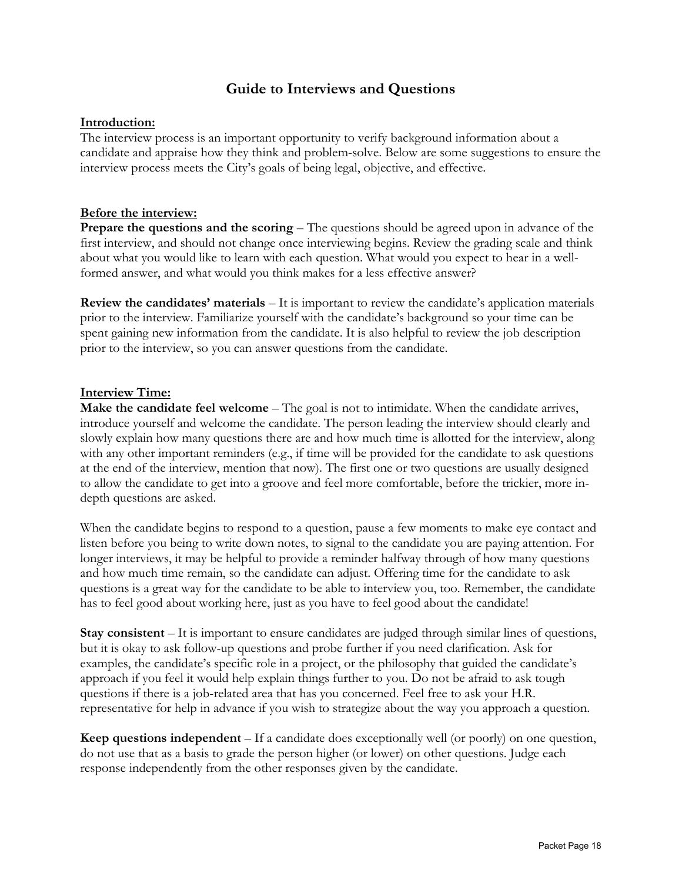# **Guide to Interviews and Questions**

#### **Introduction:**

The interview process is an important opportunity to verify background information about a candidate and appraise how they think and problem-solve. Below are some suggestions to ensure the interview process meets the City's goals of being legal, objective, and effective.

#### **Before the interview:**

**Prepare the questions and the scoring** – The questions should be agreed upon in advance of the first interview, and should not change once interviewing begins. Review the grading scale and think about what you would like to learn with each question. What would you expect to hear in a wellformed answer, and what would you think makes for a less effective answer?

**Review the candidates' materials** – It is important to review the candidate's application materials prior to the interview. Familiarize yourself with the candidate's background so your time can be spent gaining new information from the candidate. It is also helpful to review the job description prior to the interview, so you can answer questions from the candidate.

#### **Interview Time:**

**Make the candidate feel welcome** – The goal is not to intimidate. When the candidate arrives, introduce yourself and welcome the candidate. The person leading the interview should clearly and slowly explain how many questions there are and how much time is allotted for the interview, along with any other important reminders (e.g., if time will be provided for the candidate to ask questions at the end of the interview, mention that now). The first one or two questions are usually designed to allow the candidate to get into a groove and feel more comfortable, before the trickier, more indepth questions are asked.

When the candidate begins to respond to a question, pause a few moments to make eye contact and listen before you being to write down notes, to signal to the candidate you are paying attention. For longer interviews, it may be helpful to provide a reminder halfway through of how many questions and how much time remain, so the candidate can adjust. Offering time for the candidate to ask questions is a great way for the candidate to be able to interview you, too. Remember, the candidate has to feel good about working here, just as you have to feel good about the candidate!

**Stay consistent** – It is important to ensure candidates are judged through similar lines of questions, but it is okay to ask follow-up questions and probe further if you need clarification. Ask for examples, the candidate's specific role in a project, or the philosophy that guided the candidate's approach if you feel it would help explain things further to you. Do not be afraid to ask tough questions if there is a job-related area that has you concerned. Feel free to ask your H.R. representative for help in advance if you wish to strategize about the way you approach a question.

**Keep questions independent** – If a candidate does exceptionally well (or poorly) on one question, do not use that as a basis to grade the person higher (or lower) on other questions. Judge each response independently from the other responses given by the candidate.